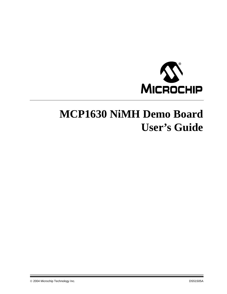

# **MCP1630 NiMH Demo Board User's Guide**

2004 Microchip Technology Inc. DS51505A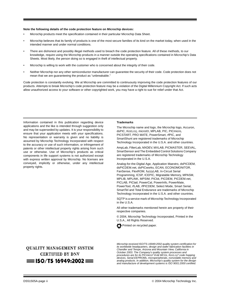#### **Note the following details of the code protection feature on Microchip devices:**

- Microchip products meet the specification contained in their particular Microchip Data Sheet.
- Microchip believes that its family of products is one of the most secure families of its kind on the market today, when used in the intended manner and under normal conditions.
- There are dishonest and possibly illegal methods used to breach the code protection feature. All of these methods, to our knowledge, require using the Microchip products in a manner outside the operating specifications contained in Microchip's Data Sheets. Most likely, the person doing so is engaged in theft of intellectual property.
- Microchip is willing to work with the customer who is concerned about the integrity of their code.
- Neither Microchip nor any other semiconductor manufacturer can guarantee the security of their code. Code protection does not mean that we are guaranteeing the product as "unbreakable."

Code protection is constantly evolving. We at Microchip are committed to continuously improving the code protection features of our products. Attempts to break Microchip's code protection feature may be a violation of the Digital Millennium Copyright Act. If such acts allow unauthorized access to your software or other copyrighted work, you may have a right to sue for relief under that Act.

Information contained in this publication regarding device applications and the like is intended through suggestion only and may be superseded by updates. It is your responsibility to ensure that your application meets with your specifications. No representation or warranty is given and no liability is assumed by Microchip Technology Incorporated with respect to the accuracy or use of such information, or infringement of patents or other intellectual property rights arising from such use or otherwise. Use of Microchip's products as critical components in life support systems is not authorized except with express written approval by Microchip. No licenses are conveyed, implicitly or otherwise, under any intellectual property rights.

#### **Trademarks**

The Microchip name and logo, the Microchip logo, Accuron, dsPIC, KEELOQ, microID, MPLAB, PIC, PICmicro, PICSTART, PRO MATE, PowerSmart, rfPIC, and SmartShunt are registered trademarks of Microchip Technology Incorporated in the U.S.A. and other countries.

AmpLab, FilterLab, MXDEV, MXLAB, PICMASTER, SEEVAL, SmartSensor and The Embedded Control Solutions Company are registered trademarks of Microchip Technology Incorporated in the U.S.A.

Analog-for-the-Digital Age, Application Maestro, dsPICDEM, dsPICDEM.net, dsPICworks, ECAN, ECONOMONITOR, FanSense, FlexROM, fuzzyLAB, In-Circuit Serial Programming, ICSP, ICEPIC, Migratable Memory, MPASM, MPLIB, MPLINK, MPSIM, PICkit, PICDEM, PICDEM.net, PICLAB, PICtail, PowerCal, PowerInfo, PowerMate, PowerTool, rfLAB, rfPICDEM, Select Mode, Smart Serial, SmartTel and Total Endurance are trademarks of Microchip Technology Incorporated in the U.S.A. and other countries.

SQTP is a service mark of Microchip Technology Incorporated in the U.S.A.

All other trademarks mentioned herein are property of their respective companies.

© 2004, Microchip Technology Incorporated, Printed in the U.S.A., All Rights Reserved.



### **OUALITY MANAGEMENT SYSTEM CERTIFIED BY DNV**  $=$  ISO/TS 16949:2002  $=$

Microchip received ISO/TS-16949:2002 quality system certification for its worldwide headquarters, design and wafer fabrication facilities in Chandler and Tempe, Arizona and Mountain View, California in October 2003. The Company's quality system processes and procedures are for its PICmicro® 8-bit MCUs, KEELOQ® code hopping devices, Serial EEPROMs, microperipherals, nonvolatile memory and analog products. In addition, Microchip's quality system for the design and manufacture of development systems is ISO 9001:2000 certified.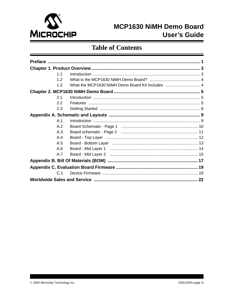

## MCP1630 NiMH Demo Board **User's Guide**

Ξ

## **Table of Contents**

| 1.1 |                                                  |  |
|-----|--------------------------------------------------|--|
| 1.2 |                                                  |  |
| 1.3 | What the MCP1630 NiMH Demo Board Kit Includes  4 |  |
|     |                                                  |  |
| 2.1 |                                                  |  |
| 2.2 |                                                  |  |
| 2.3 |                                                  |  |
|     |                                                  |  |
| A.1 |                                                  |  |
| A.2 |                                                  |  |
| A.3 |                                                  |  |
| A.4 |                                                  |  |
| A.5 |                                                  |  |
| A.6 |                                                  |  |
| A.7 |                                                  |  |
|     |                                                  |  |
|     |                                                  |  |
| C.1 |                                                  |  |
|     |                                                  |  |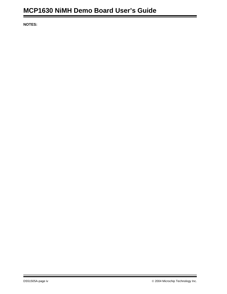**NOTES:**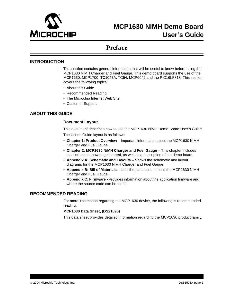

### **Preface**

### <span id="page-4-0"></span>**INTRODUCTION**

This section contains general information that will be useful to know before using the MCP1630 NiMH Charger and Fuel Gauge. This demo board supports the use of the MCP1630, MCP1700, TC1047A, TC54, MCP6042 and the PIC16LF818. This section covers the following topics:

- About this Guide
- Recommended Reading
- The Microchip Internet Web Site
- Customer Support

### **ABOUT THIS GUIDE**

#### **Document Layout**

This document describes how to use the MCP1630 NiMH Demo Board User's Guide. The User's Guide layout is as follows:

- **Chapter 1: Product Overview** Important information about the MCP1630 NiMH Charger and Fuel Gauge.
- **Chapter 2: MCP1630 NiMH Charger and Fuel Gauge** This chapter includes instructions on how to get started, as well as a description of the demo board.
- **Appendix A: Schematic and Layouts** Shows the schematic and layout diagrams for the MCP1630 NiMH Charger and Fuel Gauge.
- **Appendix B: Bill of Materials** Lists the parts used to build the MCP1630 NiMH Charger and Fuel Gauge.
- **Appendix C: Firmware -** Provides information about the application firmware and where the source code can be found.

#### **RECOMMENDED READING**

For more information regarding the MCP1630 device, the following is recommended reading.

#### **MCP1630 Data Sheet, (DS21896)**

This data sheet provides detailed information regarding the MCP1630 product family.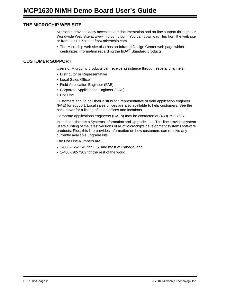### **THE MICROCHIP WEB SITE**

Microchip provides easy access to our documentation and on-line support through our Worldwide Web Site at www.microchip.com. You can download files from the web site or from our FTP site at ftp:\\.microchip.com.

• The Microchip web site also has an Infrared Design Center web page which centralizes information regarding the IrDA® Standard products.

#### **CUSTOMER SUPPORT**

Users of Microchip products can receive assistance through several channels:

- Distributor or Representative
- Local Sales Office
- Field Application Engineer (FAE)
- Corporate Applications Engineer (CAE)
- Hot Line

Customers should call their distributor, representative or field application engineer (FAE) for support. Local sales offices are also available to help customers. See the back cover for a listing of sales offices and locations.

Corporate applications engineers (CAEs) may be contacted at (480) 792-7627.

In addition, there is a Systems Information and Upgrade Line. This line provides system users a listing of the latest versions of all of Microchip's development systems software products. Plus, this line provides information on how customers can receive any currently available upgrade kits.

The Hot Line Numbers are:

- 1-800-755-2345 for U.S. and most of Canada, and
- 1-480-792-7302 for the rest of the world.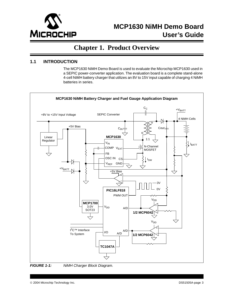

## **MCP1630 NiMH Demo Board User's Guide**

### **Chapter 1. Product Overview**

### <span id="page-6-1"></span><span id="page-6-0"></span>**1.1 INTRODUCTION**

The MCP1630 NiMH Demo Board is used to evaluate the Microchip MCP1630 used in a SEPIC power-converter application. The evaluation board is a complete stand-alone 4-cell NiMH battery charger that utilizes an 8V to 15V input capable of charging 4 NiMH batteries in series.



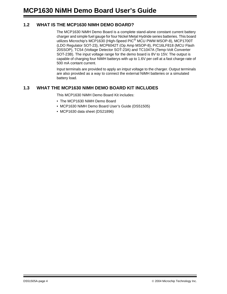### <span id="page-7-0"></span>**1.2 WHAT IS THE MCP1630 NIMH DEMO BOARD?**

The MCP1630 NiMH Demo Board is a complete stand-alone constant current battery charger and simple fuel gauge for four Nickel Metal Hydride series batteries. This board utilizes Microchip's MCP1630 (High-Speed PIC<sup>®</sup> MCU PWM MSOP-8), MCP1700T (LDO Regulator SOT-23), MCP6042T (Op Amp MSOP-8), PIC16LF818 (MCU Flash 20SSOP), TC54 (Voltage Detector SOT-23A) and TC1047A (Temp-Volt Converter SOT-23B). The input voltage range for the demo board is 8V to 15V. The output is capable of charging four NiMH batterys with up to 1.6V per cell at a fast charge rate of 500 mA contant current.

Input terminals are provided to apply an intput voltage to the charger. Output terminals are also provided as a way to connect the external NiMH batteries or a simulated battery load.

### <span id="page-7-1"></span>**1.3 WHAT THE MCP1630 NIMH DEMO BOARD KIT INCLUDES**

This MCP1630 NiMH Demo Board Kit includes:

- The MCP1630 NiMH Demo Board
- MCP1630 NiMH Demo Board User's Guide (DS51505)
- MCP1630 data sheet (DS21896)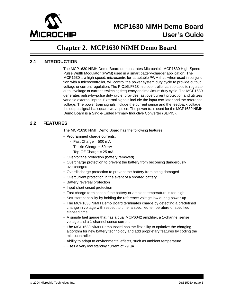

### **MCP1630 NiMH Demo Board User's Guide**

### **Chapter 2. MCP1630 NiMH Demo Board**

### <span id="page-8-1"></span><span id="page-8-0"></span>**2.1 INTRODUCTION**

The MCP1630 NiMH Demo Board demonstrates Microchip's MCP1630 High-Speed Pulse Width Modulator (PWM) used in a smart battery-charger application. The MCP1630 is a high-speed, microcontroller-adaptable PWM that, when used in conjunction with a microcontroller, will control the power system duty cycle to provide output voltage or current regulation. The PIC16LF818 microcontroller can be used to regulate output voltage or current, switching frequency and maximum duty cycle. The MCP1630 generates pulse-by-pulse duty cycle, provides fast overcurrent protection and utilizes variable external inputs. External signals include the input oscillator and the reference voltage. The power train signals include the current sense and the feedback voltage; the output signal is a square-wave pulse. The power train used for the MCP1630 NiMH Demo Board is a Single-Ended Primary Inductive Converter (SEPIC).

### <span id="page-8-2"></span>**2.2 FEATURES**

The MCP1630 NiMH Demo Board has the following features:

- Programmed charge currents:
	- Fast Charge = 500 mA
	- Trickle Charge = 50 mA
	- Top-Off Charge = 25 mA
- Overvoltage protection (battery removed)
- Overcharge protection to prevent the battery from becoming dangerously overcharged
- Overdischarge protection to prevent the battery from being damaged
- Overcurrent protection in the event of a shorted battery
- Battery reversal protection
- Input short circuit protection
- Fast charge termination if the battery or ambient temperature is too high
- Soft-start capability by holding the reference voltage low during power-up
- The MCP1630 NiMH Demo Board terminates charge by detecting a predefined change in voltage with respect to time, a specified temperature or specified elapsed time
- A simple fuel gauge that has a dual MCP6042 amplifier, a 1-channel sense voltage and a 1-channel sense current
- The MCP1630 NiMH Demo Board has the flexibility to optimize the charging algorithm for new battery technology and add proprietary features by coding the microcontroller
- Ability to adapt to environmental effects, such as ambient temperature
- Uses a very low standby current of 29 µA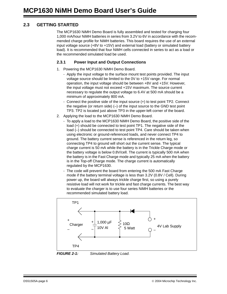### <span id="page-9-0"></span>**2.3 GETTING STARTED**

The MCP1630 NiMH Demo Board is fully assembled and tested for charging four 1,000 mA/hour NiMH batteries in series from 3.2V to 6V in accordance with the recommended charge profile for NiMH batteries. This board requires the use of an external input voltage source (+8V to +15V) and external load (battery or simulated battery load). It is recommended that four NiMH cells connected in series to act as a load or the recommended simulated load be used.

#### **2.3.1 Power Input and Output Connections**

- 1. Powering the MCP1630 NiMH Demo Board.
	- Apply the input voltage to the surface mount test points provided. The input voltage source should be limited to the 0V to +15V range. For normal operation, the input voltage should be between +8V and +15V. However, the input voltage must not exceed +15V maximum. The source current necessary to regulate the output voltage to 6.4V at 500 mA should be a minimum of approximately 800 mA.
	- Connect the positive side of the input source (+) to test point TP2. Connect the negative (or return side)  $(-)$  of the input source to the GND test point TP3. TP2 is located just above TP3 in the upper-left corner of the board.
- 2. Applying the load to the MCP1630 NiMH Demo Board.
	- To apply a load to the MCP1630 NiMH Demo Board, the positive side of the load (+) should be connected to test point TP1. The negative side of the load (–) should be connected to test point TP4. Care should be taken when using electronic or ground-referenced loads, and never connect TP4 to ground. The battery current sense is referenced in the return leg, so connecting TP4 to ground will short out the current sense. The typical charge current is 50 mA while the battery is in the Trickle Charge mode or the battery voltage is below 0.8V/cell. The current is typically 500 mA when the battery is in the Fast Charge mode and typically 25 mA when the battery is in the Top-off Charge mode. The charge current is automatically regulated by the MCP1630.
	- The code will prevent the board from entering the 500 mA Fast Charge mode if the battery terminal voltage is less than 3.2V (0.8V / Cell). During power up, the board will always trickle charge first, so using a purely resistive load will not work for trickle and fast charge currents. The best way to evaluate the charger is to use four series NiMH batteries or the recommended simulated battery load.

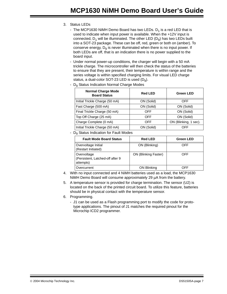#### 3. Status LEDs

- The MCP1630 NiMH Demo Board has two LEDs.  $D_1$  is a red LED that is used to indicate when input power is available. When the +12V input is connected,  $D_1$  will be illuminated. The other LED ( $D_9$ ) has two LEDs built into a SOT-23 package. These can be off, red, green or both on (amber). To conserve energy,  $D<sub>9</sub>$  is never illuminated when there is no input power. If both LEDs are off, that is an indication there is no power supplied to the board input.
- Under normal power-up conditions, the charger will begin with a 50 mA trickle charge. The microcontroller will then check the status of the batteries to ensure that they are present, their temperature is within range and the series voltage is within specified charging limits. For visual LED charge status, a dual-color SOT-23 LED is used  $(D_9)$ .
- D<sub>9</sub> Status Indication Normal Charge Modes

| <b>Normal Charge Mode</b><br><b>Board Status</b> | <b>Red LED</b> | <b>Green LED</b>      |
|--------------------------------------------------|----------------|-----------------------|
| Initial Trickle Charge (50 mA)                   | ON (Solid)     | OFF                   |
| Fast Charge (500 mA)                             | ON (Solid)     | ON (Solid)            |
| Final Trickle Charge (50 mA)                     | OFF            | ON (Solid)            |
| Top Off Charge (25 mA)                           | OFF            | ON (Solid)            |
| Charge Complete (0 mA)                           | OFF            | ON (Blinking, 1 sec). |
| Initial Trickle Charge (50 mA)                   | ON (Solid)     | OFF                   |

- D<sub>9</sub> Status Indication for Fault Modes

| <b>Fault Mode Board Status</b>                               | <b>Red LED</b>       | <b>Green LED</b> |
|--------------------------------------------------------------|----------------------|------------------|
| Overvoltage Initial<br>(Restart Initiated)                   | ON (Blinking)        | OFF              |
| Overvoltage<br>(Persistent, Latched-off after 9<br>attempts) | ON (Blinking Faster) | OFF              |
| Overcurrent                                                  | ON Blinking          | OFF              |

4. With no input connected and 4 NiMH batteries used as a load, the MCP1630 NiMH Demo Board will consume approximately 29 µA from the battery.

5. A temperature sensor is provided for charge termination. The sensor (U2) is located on the back of the printed circuit board. To utilize this feature, batteries should be in physical contact with the temperature sensor.

6. Programming.

- J1 can be used as a Flash programming port to modify the code for prototype applications. The pinout of J1 matches the required pinout for the Microchip ICD2 programmer.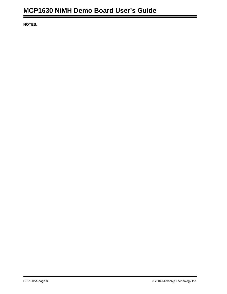**NOTES:**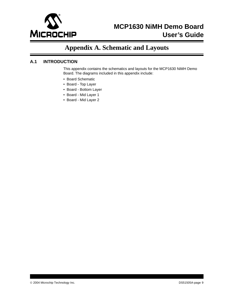

### **Appendix A. Schematic and Layouts**

### <span id="page-12-1"></span><span id="page-12-0"></span>**A.1 INTRODUCTION**

This appendix contains the schematics and layouts for the MCP1630 NiMH Demo Board. The diagrams included in this appendix include:

- Board Schematic
- Board Top Layer
- Board Bottom Layer
- Board Mid Layer 1
- Board Mid Layer 2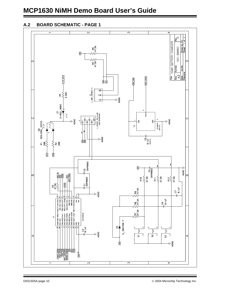## **MCP1630 NiMH Demo Board User's Guide**

### <span id="page-13-0"></span>**A.2 BOARD SCHEMATIC - PAGE 1**

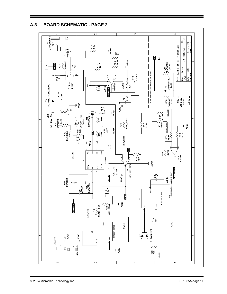<span id="page-14-0"></span>

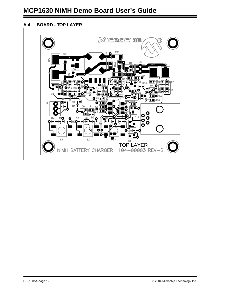## **MCP1630 NiMH Demo Board User's Guide**

### <span id="page-15-0"></span>**A.4 BOARD - TOP LAYER**

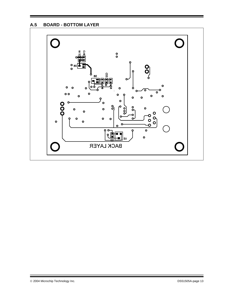### <span id="page-16-0"></span>**A.5 BOARD - BOTTOM LAYER**

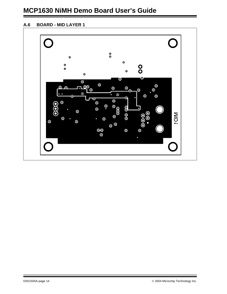## **MCP1630 NiMH Demo Board User's Guide**

### <span id="page-17-0"></span>**A.6 BOARD - MID LAYER 1**

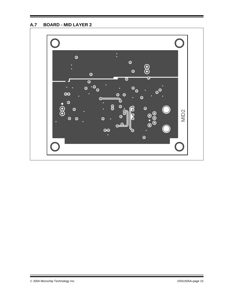```
A.7 BOARD - MID LAYER 2
```
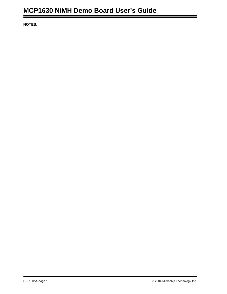**NOTES:**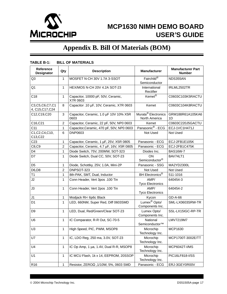

## **MCP1630 NIMH DEMO BOARD USER'S GUIDE**

## **Appendix B. Bill Of Materials (BOM)**

| <b>Reference</b><br><b>Designator</b> | Qty            | <b>Description</b>                             | <b>Manufacturer</b>                                                     | <b>Manufacturer Part</b><br><b>Number</b> |
|---------------------------------------|----------------|------------------------------------------------|-------------------------------------------------------------------------|-------------------------------------------|
| Q <sub>3</sub>                        | $\mathbf{1}$   | MOSFET N-CH 30V 1.7A 3-SSOT                    | Fairchild <sup>®</sup><br>Semiconductor                                 | NDS355AN                                  |
| Q <sub>1</sub>                        | 1              | HEX/MOS N-CH 20V 4.2A SOT-23                   | International<br>Rectifier                                              | IRLML2502TR                               |
| C <sub>18</sub>                       | 1              | Capacitor, 10000 pF, 50V, Ceramic,<br>X7R 0603 | Kemet <sup>®</sup>                                                      | C0603C103K5RACTU                          |
| C3,C5,C6,C7,C1<br>4, C15, C17, C24    | 8              | Capacitor .10 µF, 10V, Ceramic, X7R 0603       | Kemet                                                                   | C0603C104K8RACTU                          |
| C12,C19,C20                           | 3              | Capacitor, Ceramic, 1.0 µF 10V 10% X5R<br>0603 | $\overline{\text{Murata}^{\textcircledR}}$ Electronics<br>North America | GRM188R61A105KA6<br>1D                    |
| C16,C21                               | $\overline{c}$ | Capacitor, Ceramic, 22 pF, 50V, NP0 0603       | Kemet                                                                   | C0603C220J5GACTU                          |
| C11                                   | $\mathbf 1$    | Capacitor, Ceramic, 470 pF, 50V, NP0 0603      | Panasonic <sup>®</sup> - ECG                                            | ECJ-1VC1H471J                             |
| C1, C2, C4, C10,<br>C13, C22          | 6              | DNP0603                                        | Not Used                                                                | Not Used                                  |
| C <sub>23</sub>                       | $\mathbf{1}$   | Capacitor, Ceramic, 1 µF, 25V, X5R 0805        | Panasonic - ECG                                                         | ECJ-2FB1E105K                             |
| C8,C9                                 | $\overline{c}$ | Capacitor, Ceramic, 4.7 µF, 16V, X5R 0805      | Panasonic - ECG                                                         | ECJ-2FB1C475K                             |
| D4                                    | 1              | Diode Switch, 75V, 200MW, SOT-323              | Diodes Inc.                                                             | <b>BAS16W-7</b>                           |
| D7                                    | $\mathbf{1}$   | Diode Switch, Dual CC, 50V, SOT-23             | ON<br>Semiconductor <sup>®</sup>                                        | BAV74LT1                                  |
| D <sub>5</sub>                        | 1              | Diode, Schottky, 25V, 1.0A, Mini-2P            | Panasonic - SSG                                                         | MA2YD2300L                                |
| D6,D8                                 | $\overline{2}$ | DNPSOT-323                                     | Not Used                                                                | Not Used                                  |
| T1                                    | 1              | 8th-PAK, SMT, Dual, Inductor                   | BH Electronics <sup>®</sup>                                             | 511-1016                                  |
| J2                                    | $\mathbf{1}$   | Conn Header, Vert 3pos .100 Tin                | AMP/<br><b>Tyco Electronics</b>                                         | 640454-3                                  |
| J3                                    | $\mathbf{1}$   | Conn Header, Vert 2pos .100 Tin                | AMP/<br><b>Tyco Electronics</b>                                         | 640454-2                                  |
| J1                                    | $\mathbf{1}$   | Modjack Rt< 6p6c Black                         | Kycon                                                                   | GD-A-66                                   |
| D <sub>1</sub>                        | $\mathbf{1}$   | LED, 660NM, Super Red, Diff 0603SMD            | Lumex <sup>®</sup> Opto/<br>Components Inc.                             | SML-LX0603SRW-TR                          |
| D <sub>9</sub>                        | $\mathbf{1}$   | LED, Dual, Red/Green/Clear SOT-23              | Lumex Opto/<br>Components Inc.                                          | SSL-LX15IGC-RP-TR                         |
| U <sub>6</sub>                        | $\mathbf{1}$   | IC Comparator, R-R Out, SC-70-5                | National<br>Semiconductor™                                              | LMV7219M7                                 |
| U <sub>3</sub>                        | $\mathbf{1}$   | High Speed, PIC, PWM, MSOP8                    | Microchip<br>Technology Inc.                                            | MCP1630                                   |
| U7                                    | 1              | IC, LDO Reg, 250 ma, 3.0V, SOT-23              | Microchip<br>Technology Inc.                                            | MCP1700T-3002E/TT                         |
| U <sub>4</sub>                        | 1              | IC Op Amp, 1 µa, 1.4V, Dual R-R, MSOP8         | Microchip<br>Technology Inc.                                            | MCP6042T-I/MS                             |
| U1                                    | 1              | IC MCU Flash, 1k x 14, EEPROM, 20SSOP          | Microchip<br>Technology Inc.                                            | PIC16LF818-I/SS                           |
| R <sub>16</sub>                       | 1              | Resistor, ZERO $\Omega$ , 1/10W, 5%, 0603 SMD  | Panasonic - ECG                                                         | ERJ-3GEY0R00V                             |

#### <span id="page-20-0"></span>**TABLE B-1: BILL OF MATERIALS**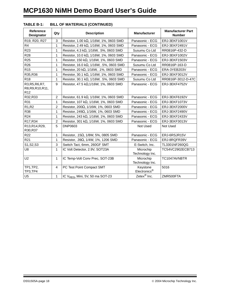| <b>Reference</b><br>Designator                          | Qty            | <b>Description</b>                             | <b>Manufacturer</b>                  | <b>Manufacturer Part</b><br><b>Number</b> |
|---------------------------------------------------------|----------------|------------------------------------------------|--------------------------------------|-------------------------------------------|
| R19, R20, R27                                           | 3              | Resistor, 1.00 kΩ, 1/16W, 1%, 0603 SMD         | Panasonic - ECG                      | ERJ-3EKF1001V                             |
| R4                                                      | 1              | Resistor, 2.49 kΩ, 1/16W, 1%, 0603 SMD         | Panasonic - ECG                      | ERJ-3EKF2491V                             |
| R <sub>23</sub>                                         | 1              | Resistor, 4.3 kΩ, 1/16W, .5%, 0603 SMD         | Susumu Co Ltd                        | RR0816P-432-D                             |
| R <sub>28</sub>                                         | 1              | Resistor, 10.0 kΩ, 1/16W, 1%, 0603 SMD         | Panasonic - ECG                      | ERJ-3EKF1002V                             |
| R <sub>25</sub>                                         | 1              | Resistor, 150 kΩ, 1/16W, 1%, 0603 SMD          | Panasonic - ECG                      | ERJ-3EKF1503V                             |
| R <sub>26</sub>                                         | 1              | Resistor, 16.0 kΩ, 1/16W, .5%, 0603 SMD        | Susumu Co Ltd                        | RR0816P-163-D                             |
| R <sub>15</sub>                                         | 1              | Resistor, 20 k $\Omega$ , 1/16W, .1%, 0603 SMD | Panasonic - ECG                      | ERA-3YEB203V                              |
| R35, R36                                                | 1              | Resistor, 30.1 kΩ, 1/16W, 1%, 0603 SMD         | Panasonic - ECG                      | ERJ-3EKF3012V                             |
| R <sub>18</sub>                                         | $\mathbf{1}$   | Resistor, 30.1 kΩ, 1/16W, .5%, 0603 SMD        | Susumu Co Ltd                        | RR0816P-3012-D-47C                        |
| R3, R5, R6, R7,<br>R8, R9, R10, R11,<br>R <sub>12</sub> | 9              | Resistor, 47.5 kΩ, 1/16W, 1%, 0603 SMD         | Panasonic - ECG                      | ERJ-3EKF4752V                             |
| R32, R33                                                | $\overline{c}$ | Resistor, 61.9 kΩ, 1/16W, 1%, 0603 SMD         | Panasonic - ECG                      | ERJ-3EKF6192V                             |
| R31                                                     | 1              | Resistor, 107 kΩ, 1/16W, 1%, 0603 SMD          | Panasonic - ECG                      | ERJ-3EKF1073V                             |
| R <sub>1</sub> ,R <sub>2</sub>                          | $\overline{2}$ | Resistor, 200Ω, 1/16W, 1%, 0603 SMD            | Panasonic - ECG                      | ERJ-3EKF2000V                             |
| R38                                                     | 1              | Resistor, 249Ω, 1/16W, 1%, 0603 SMD            | Panasonic - ECG                      | ERJ-3EKF2490V                             |
| R <sub>24</sub>                                         | 1              | Resistor, 243 k $\Omega$ , 1/16W, 1%, 0603 SMD | Panasonic - ECG                      | ERJ-3EKF2433V                             |
| R17, R34                                                | $\overline{c}$ | Resistor, 301 kΩ, 1/16W, 1%, 0603 SMD          | Panasonic - ECG                      | ERJ-3EKF3013V                             |
| R13, R14, R29,<br>R30, R37                              | 5              | DNP0603                                        | Not Used                             | Not Used                                  |
| R <sub>22</sub>                                         | 1              | Resistor, .15 $\Omega$ , 1/8W, 5%, 0805 SMD    | Panasonic - ECG                      | ERJ-6RSJR15V                              |
| R <sub>21</sub>                                         | 1              | Resistor, .39Ω, 1/4W, 1%, 1206 SMD             | Panasonic - ECG                      | ERJ-8RQFR39V                              |
| S1, S2, S3                                              | 3              | Switch Tact, 6mm, 260GF SMT                    | E-Switch, Inc.                       | TL3301NF260QG                             |
| U8                                                      | 1              | IC Volt Detector, 2.9V, SOT23A                 | Microchip<br>Technology Inc.         | TC54VC2902ECB713                          |
| U <sub>2</sub>                                          | $\mathbf{1}$   | IC Temp-Volt Conv Prec, SOT-23B                | Microchip<br>Technology Inc.         | TC1047AVNBTR                              |
| TP1, TP2,<br>TP3,TP4                                    | 4              | PC Test Point Compact SMT                      | Keystone<br>Electronics <sup>®</sup> | 5016                                      |
| U <sub>5</sub>                                          | $\mathbf{1}$   | IC $V_{RFG}$ , Mini, 5V, 50 ma SOT-23          | Zetex <sup>®</sup> Inc.              | ZMR500FTA                                 |

#### **TABLE B-1: BILL OF MATERIALS (CONTINUED)**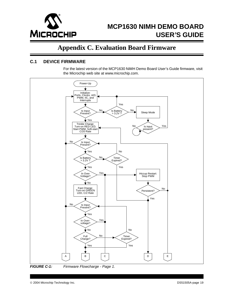

## **Appendix C. Evaluation Board Firmware**

### <span id="page-22-1"></span><span id="page-22-0"></span>**C.1 DEVICE FIRMWARE**

For the latest version of the MCP1630 NiMH Demo Board User's Guide firmware, visit the Microchip web site at www.microchip.com.

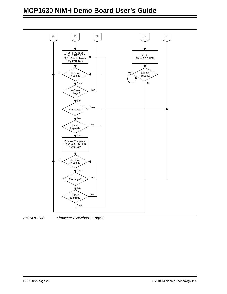### **MCP1630 NiMH Demo Board User's Guide**



**FIGURE C-2:** Firmware Flowchart - Page 2.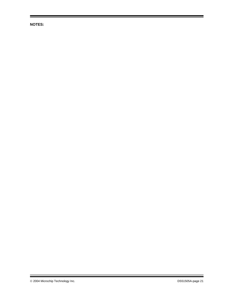**NOTES:**